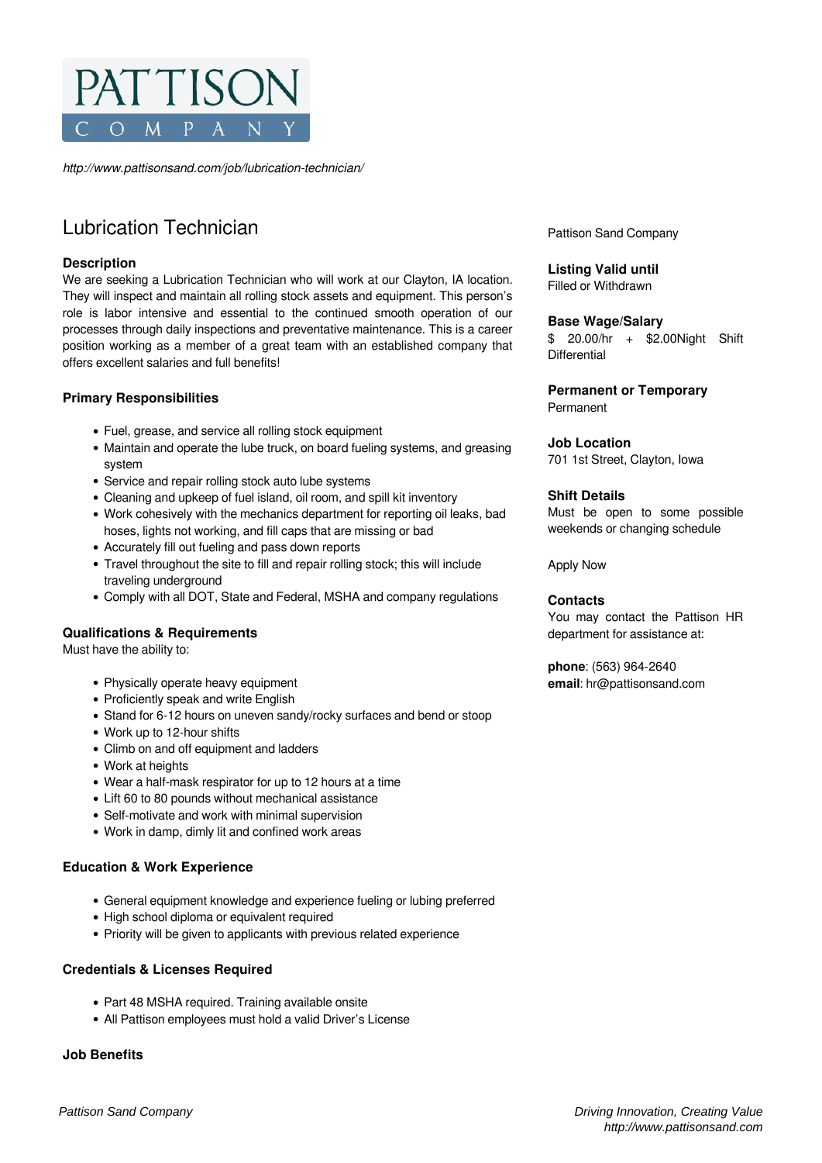

*http://www.pattisonsand.com/job/lubrication-technician/*

# Lubrication Technician

## **Description**

We are seeking a Lubrication Technician who will work at our Clayton, IA location. They will inspect and maintain all rolling stock assets and equipment. This person's role is labor intensive and essential to the continued smooth operation of our processes through daily inspections and preventative maintenance. This is a career position working as a member of a great team with an established company that offers excellent salaries and full benefits!

## **Primary Responsibilities**

- Fuel, grease, and service all rolling stock equipment
- Maintain and operate the lube truck, on board fueling systems, and greasing system
- Service and repair rolling stock auto lube systems
- Cleaning and upkeep of fuel island, oil room, and spill kit inventory
- Work cohesively with the mechanics department for reporting oil leaks, bad hoses, lights not working, and fill caps that are missing or bad
- Accurately fill out fueling and pass down reports
- Travel throughout the site to fill and repair rolling stock; this will include traveling underground
- Comply with all DOT, State and Federal, MSHA and company regulations

## **Qualifications & Requirements**

Must have the ability to:

- Physically operate heavy equipment
- Proficiently speak and write English
- Stand for 6-12 hours on uneven sandy/rocky surfaces and bend or stoop
- Work up to 12-hour shifts
- Climb on and off equipment and ladders
- Work at heights
- Wear a half-mask respirator for up to 12 hours at a time
- Lift 60 to 80 pounds without mechanical assistance
- Self-motivate and work with minimal supervision
- Work in damp, dimly lit and confined work areas

## **Education & Work Experience**

- General equipment knowledge and experience fueling or lubing preferred
- High school diploma or equivalent required
- Priority will be given to applicants with previous related experience

## **Credentials & Licenses Required**

- Part 48 MSHA required. Training available onsite
- All Pattison employees must hold a valid Driver's License

**Job Benefits**

Pattison Sand Company

**Listing Valid until** Filled or Withdrawn

#### **Base Wage/Salary**

\$ 20.00/hr + \$2.00Night Shift **Differential** 

**Permanent or Temporary** Permanent

## **Job Location**

701 1st Street, Clayton, Iowa

### **Shift Details**

Must be open to some possible weekends or changing schedule

Apply Now

#### **Contacts**

You may contact the Pattison HR department for assistance at:

**phone**: (563) 964-2640 **email**: hr@pattisonsand.com